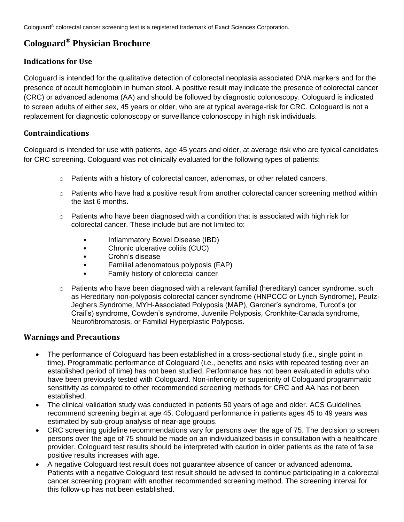Cologuard® colorectal cancer screening test is a registered trademark of Exact Sciences Corporation.

# **Cologuard® Physician Brochure**

## <span id="page-0-0"></span>**Indications for Use**

Cologuard is intended for the qualitative detection of colorectal neoplasia associated DNA markers and for the presence of occult hemoglobin in human stool. A positive result may indicate the presence of colorectal cancer (CRC) or advanced adenoma (AA) and should be followed by diagnostic colonoscopy. Cologuard is indicated to screen adults of either sex, 45 years or older, who are at typical average-risk for CRC. Cologuard is not a replacement for diagnostic colonoscopy or surveillance colonoscopy in high risk individuals.

## <span id="page-0-1"></span>**Contraindications**

Cologuard is intended for use with patients, age 45 years and older, at average risk who are typical candidates for CRC screening. Cologuard was not clinically evaluated for the following types of patients:

- $\circ$  Patients with a history of colorectal cancer, adenomas, or other related cancers.
- $\circ$  Patients who have had a positive result from another colorectal cancer screening method within the last 6 months.
- $\circ$  Patients who have been diagnosed with a condition that is associated with high risk for colorectal cancer. These include but are not limited to:
	- Inflammatory Bowel Disease (IBD)
	- Chronic ulcerative colitis (CUC)
	- Crohn's disease
	- Familial adenomatous polyposis (FAP)
	- Family history of colorectal cancer
- $\circ$  Patients who have been diagnosed with a relevant familial (hereditary) cancer syndrome, such as Hereditary non-polyposis colorectal cancer syndrome (HNPCCC or Lynch Syndrome), Peutz-Jeghers Syndrome, MYH-Associated Polyposis (MAP), Gardner's syndrome, Turcot's (or Crail's) syndrome, Cowden's syndrome, Juvenile Polyposis, Cronkhite-Canada syndrome, Neurofibromatosis, or Familial Hyperplastic Polyposis.

## <span id="page-0-2"></span>**Warnings and Precautions**

- The performance of Cologuard has been established in a cross-sectional study (i.e., single point in time). Programmatic performance of Cologuard (i.e., benefits and risks with repeated testing over an established period of time) has not been studied. Performance has not been evaluated in adults who have been previously tested with Cologuard. Non-inferiority or superiority of Cologuard programmatic sensitivity as compared to other recommended screening methods for CRC and AA has not been established.
- The clinical validation study was conducted in patients 50 years of age and older. ACS Guidelines recommend screening begin at age 45. Cologuard performance in patients ages 45 to 49 years was estimated by sub-group analysis of near-age groups.
- CRC screening guideline recommendations vary for persons over the age of 75. The decision to screen persons over the age of 75 should be made on an individualized basis in consultation with a healthcare provider. Cologuard test results should be interpreted with caution in older patients as the rate of false positive results increases with age.
- A negative Cologuard test result does not guarantee absence of cancer or advanced adenoma. Patients with a negative Cologuard test result should be advised to continue participating in a colorectal cancer screening program with another recommended screening method. The screening interval for this follow-up has not been established.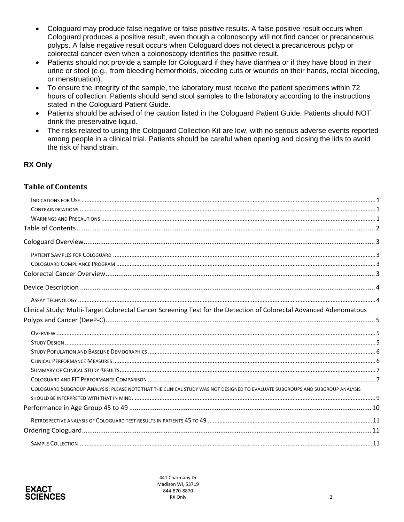- Cologuard may produce false negative or false positive results. A false positive result occurs when Cologuard produces a positive result, even though a colonoscopy will not find cancer or precancerous polyps. A false negative result occurs when Cologuard does not detect a precancerous polyp or colorectal cancer even when a colonoscopy identifies the positive result.
- Patients should not provide a sample for Cologuard if they have diarrhea or if they have blood in their urine or stool (e.g., from bleeding hemorrhoids, bleeding cuts or wounds on their hands, rectal bleeding, or menstruation).
- To ensure the integrity of the sample, the laboratory must receive the patient specimens within 72 hours of collection. Patients should send stool samples to the laboratory according to the instructions stated in the Cologuard Patient Guide.
- Patients should be advised of the caution listed in the Cologuard Patient Guide. Patients should NOT drink the preservative liquid.
- The risks related to using the Cologuard Collection Kit are low, with no serious adverse events reported among people in a clinical trial. Patients should be careful when opening and closing the lids to avoid the risk of hand strain.

## **RX Only**

## <span id="page-1-0"></span>**Table of Contents**

| Clinical Study: Multi-Target Colorectal Cancer Screening Test for the Detection of Colorectal Advanced Adenomatous            |  |
|-------------------------------------------------------------------------------------------------------------------------------|--|
|                                                                                                                               |  |
|                                                                                                                               |  |
|                                                                                                                               |  |
|                                                                                                                               |  |
|                                                                                                                               |  |
|                                                                                                                               |  |
|                                                                                                                               |  |
| COLOGUARD SUBGROUP ANALYSIS: PLEASE NOTE THAT THE CLINICAL STUDY WAS NOT DESIGNED TO EVALUATE SUBGROUPS AND SUBGROUP ANALYSIS |  |
|                                                                                                                               |  |
|                                                                                                                               |  |
|                                                                                                                               |  |
|                                                                                                                               |  |
|                                                                                                                               |  |

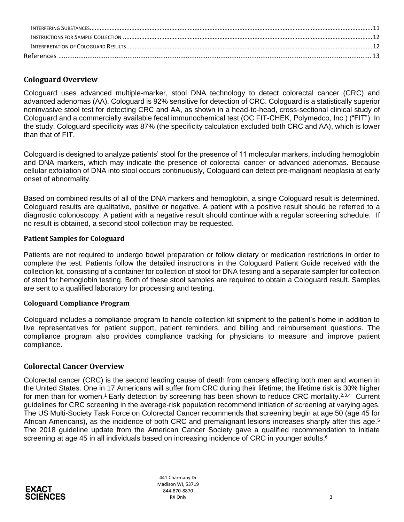| References |  |
|------------|--|

## <span id="page-2-0"></span>**Cologuard Overview**

Cologuard uses advanced multiple-marker, stool DNA technology to detect colorectal cancer (CRC) and advanced adenomas (AA). Cologuard is 92% sensitive for detection of CRC. Cologuard is a statistically superior noninvasive stool test for detecting CRC and AA, as shown in a head-to-head, cross-sectional clinical study of Cologuard and a commercially available fecal immunochemical test (OC FIT-CHEK, Polymedco, Inc.) ("FIT"). In the study, Cologuard specificity was 87% (the specificity calculation excluded both CRC and AA), which is lower than that of FIT.

Cologuard is designed to analyze patients' stool for the presence of 11 molecular markers, including hemoglobin and DNA markers, which may indicate the presence of colorectal cancer or advanced adenomas. Because cellular exfoliation of DNA into stool occurs continuously, Cologuard can detect pre-malignant neoplasia at early onset of abnormality.

Based on combined results of all of the DNA markers and hemoglobin, a single Cologuard result is determined. Cologuard results are qualitative, positive or negative. A patient with a positive result should be referred to a diagnostic colonoscopy. A patient with a negative result should continue with a regular screening schedule. If no result is obtained, a second stool collection may be requested.

### <span id="page-2-1"></span>**Patient Samples for Cologuard**

Patients are not required to undergo bowel preparation or follow dietary or medication restrictions in order to complete the test. Patients follow the detailed instructions in the Cologuard Patient Guide received with the collection kit, consisting of a container for collection of stool for DNA testing and a separate sampler for collection of stool for hemoglobin testing. Both of these stool samples are required to obtain a Cologuard result. Samples are sent to a qualified laboratory for processing and testing.

### <span id="page-2-2"></span>**Cologuard Compliance Program**

Cologuard includes a compliance program to handle collection kit shipment to the patient's home in addition to live representatives for patient support, patient reminders, and billing and reimbursement questions. The compliance program also provides compliance tracking for physicians to measure and improve patient compliance.

## <span id="page-2-3"></span>**Colorectal Cancer Overview**

Colorectal cancer (CRC) is the second leading cause of death from cancers affecting both men and women in the United States. One in 17 Americans will suffer from CRC during their lifetime; the lifetime risk is 30% higher for men than for women.<sup>1</sup> Early detection by screening has been shown to reduce CRC mortality.<sup>2,3,4</sup> Current guidelines for CRC screening in the average-risk population recommend initiation of screening at varying ages. The US Multi-Society Task Force on Colorectal Cancer recommends that screening begin at age 50 (age 45 for African Americans), as the incidence of both CRC and premalignant lesions increases sharply after this age.<sup>5</sup> The 2018 guideline update from the American Cancer Society gave a qualified recommendation to initiate screening at age 45 in all individuals based on increasing incidence of CRC in younger adults.<sup>6</sup>

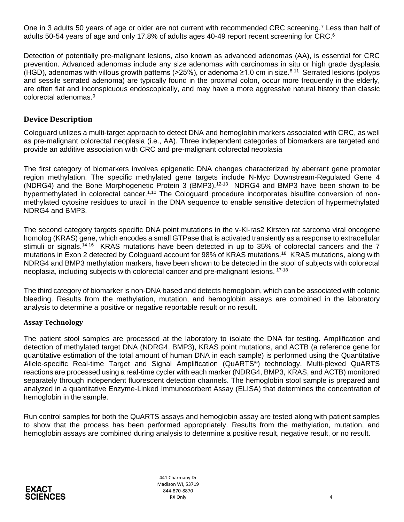One in 3 adults 50 years of age or older are not current with recommended CRC screening.<sup>7</sup> Less than half of adults 50-54 years of age and only 17.8% of adults ages 40-49 report recent screening for CRC.<sup>6</sup>

Detection of potentially pre-malignant lesions, also known as advanced adenomas (AA), is essential for CRC prevention. Advanced adenomas include any size adenomas with carcinomas in situ or high grade dysplasia (HGD), adenomas with villous growth patterns (>25%), or adenoma ≥1.0 cm in size.<sup>8-11</sup> Serrated lesions (polyps and sessile serrated adenoma) are typically found in the proximal colon, occur more frequently in the elderly, are often flat and inconspicuous endoscopically, and may have a more aggressive natural history than classic colorectal adenomas.<sup>9</sup>

## <span id="page-3-0"></span>**Device Description**

Cologuard utilizes a multi-target approach to detect DNA and hemoglobin markers associated with CRC, as well as pre-malignant colorectal neoplasia (i.e., AA). Three independent categories of biomarkers are targeted and provide an additive association with CRC and pre-malignant colorectal neoplasia

The first category of biomarkers involves epigenetic DNA changes characterized by aberrant gene promoter region methylation. The specific methylated gene targets include N-Myc Downstream-Regulated Gene 4 (NDRG4) and the Bone Morphogenetic Protein 3 (BMP3).<sup>12-13</sup> NDRG4 and BMP3 have been shown to be hypermethylated in colorectal cancer.<sup>1,10</sup> The Cologuard procedure incorporates bisulfite conversion of nonmethylated cytosine residues to uracil in the DNA sequence to enable sensitive detection of hypermethylated NDRG4 and BMP3.

The second category targets specific DNA point mutations in the v-Ki-ras2 Kirsten rat sarcoma viral oncogene homolog (KRAS) gene, which encodes a small GTPase that is activated transiently as a response to extracellular stimuli or signals.<sup>14-16</sup> KRAS mutations have been detected in up to 35% of colorectal cancers and the 7 mutations in Exon 2 detected by Cologuard account for 98% of KRAS mutations.<sup>18</sup> KRAS mutations, along with NDRG4 and BMP3 methylation markers, have been shown to be detected in the stool of subjects with colorectal neoplasia, including subjects with colorectal cancer and pre-malignant lesions. 17-18

The third category of biomarker is non-DNA based and detects hemoglobin, which can be associated with colonic bleeding. Results from the methylation, mutation, and hemoglobin assays are combined in the laboratory analysis to determine a positive or negative reportable result or no result.

### <span id="page-3-1"></span>**Assay Technology**

The patient stool samples are processed at the laboratory to isolate the DNA for testing. Amplification and detection of methylated target DNA (NDRG4, BMP3), KRAS point mutations, and ACTB (a reference gene for quantitative estimation of the total amount of human DNA in each sample) is performed using the Quantitative Allele-specific Real-time Target and Signal Amplification (QuARTS®) technology. Multi-plexed QuARTS reactions are processed using a real-time cycler with each marker (NDRG4, BMP3, KRAS, and ACTB) monitored separately through independent fluorescent detection channels. The hemoglobin stool sample is prepared and analyzed in a quantitative Enzyme-Linked Immunosorbent Assay (ELISA) that determines the concentration of hemoglobin in the sample.

Run control samples for both the QuARTS assays and hemoglobin assay are tested along with patient samples to show that the process has been performed appropriately. Results from the methylation, mutation, and hemoglobin assays are combined during analysis to determine a positive result, negative result, or no result.



441 Charmany Dr Madison WI, 53719 844-870-8870 RX Only the contract of the contract of the contract of the contract of the contract of the contract of the contract of the contract of the contract of the contract of the contract of the contract of the contract of the co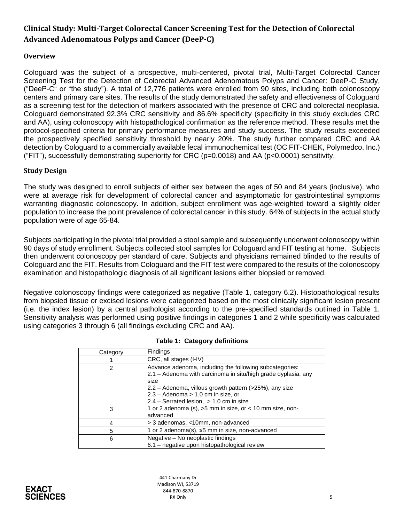# <span id="page-4-0"></span>**Clinical Study: Multi-Target Colorectal Cancer Screening Test for the Detection of Colorectal Advanced Adenomatous Polyps and Cancer (DeeP-C)**

## <span id="page-4-1"></span>**Overview**

Cologuard was the subject of a prospective, multi-centered, pivotal trial, Multi-Target Colorectal Cancer Screening Test for the Detection of Colorectal Advanced Adenomatous Polyps and Cancer: DeeP-C Study, ("DeeP-C" or "the study"). A total of 12,776 patients were enrolled from 90 sites, including both colonoscopy centers and primary care sites. The results of the study demonstrated the safety and effectiveness of Cologuard as a screening test for the detection of markers associated with the presence of CRC and colorectal neoplasia. Cologuard demonstrated 92.3% CRC sensitivity and 86.6% specificity (specificity in this study excludes CRC and AA), using colonoscopy with histopathological confirmation as the reference method. These results met the protocol-specified criteria for primary performance measures and study success. The study results exceeded the prospectively specified sensitivity threshold by nearly 20%. The study further compared CRC and AA detection by Cologuard to a commercially available fecal immunochemical test (OC FIT-CHEK, Polymedco, Inc.) ("FIT"), successfully demonstrating superiority for CRC (p=0.0018) and AA (p<0.0001) sensitivity.

### <span id="page-4-2"></span>**Study Design**

The study was designed to enroll subjects of either sex between the ages of 50 and 84 years (inclusive), who were at average risk for development of colorectal cancer and asymptomatic for gastrointestinal symptoms warranting diagnostic colonoscopy. In addition, subject enrollment was age-weighted toward a slightly older population to increase the point prevalence of colorectal cancer in this study. 64% of subjects in the actual study population were of age 65-84.

Subjects participating in the pivotal trial provided a stool sample and subsequently underwent colonoscopy within 90 days of study enrollment. Subjects collected stool samples for Cologuard and FIT testing at home. Subjects then underwent colonoscopy per standard of care. Subjects and physicians remained blinded to the results of Cologuard and the FIT. Results from Cologuard and the FIT test were compared to the results of the colonoscopy examination and histopathologic diagnosis of all significant lesions either biopsied or removed.

Negative colonoscopy findings were categorized as negative (Table 1, category 6.2). Histopathological results from biopsied tissue or excised lesions were categorized based on the most clinically significant lesion present (i.e. the index lesion) by a central pathologist according to the pre-specified standards outlined in Table 1. Sensitivity analysis was performed using positive findings in categories 1 and 2 while specificity was calculated using categories 3 through 6 (all findings excluding CRC and AA).

| Category | Findings                                                                                                                 |  |  |  |
|----------|--------------------------------------------------------------------------------------------------------------------------|--|--|--|
|          | CRC, all stages (I-IV)                                                                                                   |  |  |  |
| 2        | Advance adenoma, including the following subcategories:<br>2.1 - Adenoma with carcinoma in situ/high grade dyplasia, any |  |  |  |
|          | size                                                                                                                     |  |  |  |
|          | 2.2 – Adenoma, villous growth pattern (>25%), any size                                                                   |  |  |  |
|          | $2.3 -$ Adenoma $> 1.0$ cm in size, or                                                                                   |  |  |  |
|          | $2.4$ – Serrated lesion, $> 1.0$ cm in size                                                                              |  |  |  |
| 3        | 1 or 2 adenoma (s), $>5$ mm in size, or < 10 mm size, non-                                                               |  |  |  |
|          | advanced                                                                                                                 |  |  |  |
|          | > 3 adenomas, <10mm, non-advanced                                                                                        |  |  |  |
| 5        | 1 or 2 adenoma(s), ≤5 mm in size, non-advanced                                                                           |  |  |  |
| 6        | Negative - No neoplastic findings                                                                                        |  |  |  |
|          | 6.1 - negative upon histopathological review                                                                             |  |  |  |

|  |  | Table 1: Category definitions |
|--|--|-------------------------------|
|--|--|-------------------------------|

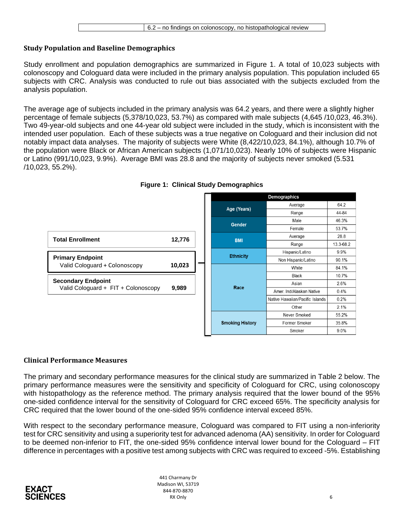### <span id="page-5-0"></span>**Study Population and Baseline Demographics**

Study enrollment and population demographics are summarized in Figure 1. A total of 10,023 subjects with colonoscopy and Cologuard data were included in the primary analysis population. This population included 65 subjects with CRC. Analysis was conducted to rule out bias associated with the subjects excluded from the analysis population.

The average age of subjects included in the primary analysis was 64.2 years, and there were a slightly higher percentage of female subjects (5,378/10,023, 53.7%) as compared with male subjects (4,645 /10,023, 46.3%). Two 49-year-old subjects and one 44-year old subject were included in the study, which is inconsistent with the intended user population. Each of these subjects was a true negative on Cologuard and their inclusion did not notably impact data analyses. The majority of subjects were White (8,422/10,023, 84.1%), although 10.7% of the population were Black or African American subjects (1,071/10,023). Nearly 10% of subjects were Hispanic or Latino (991/10,023, 9.9%). Average BMI was 28.8 and the majority of subjects never smoked (5.531 /10,023, 55.2%).



**Figure 1: Clinical Study Demographics**

# <span id="page-5-1"></span>**Clinical Performance Measures**

The primary and secondary performance measures for the clinical study are summarized in Table 2 below. The primary performance measures were the sensitivity and specificity of Cologuard for CRC, using colonoscopy with histopathology as the reference method. The primary analysis required that the lower bound of the 95% one-sided confidence interval for the sensitivity of Cologuard for CRC exceed 65%. The specificity analysis for CRC required that the lower bound of the one-sided 95% confidence interval exceed 85%.

With respect to the secondary performance measure, Cologuard was compared to FIT using a non-inferiority test for CRC sensitivity and using a superiority test for advanced adenoma (AA) sensitivity. In order for Cologuard to be deemed non-inferior to FIT, the one-sided 95% confidence interval lower bound for the Cologuard – FIT difference in percentages with a positive test among subjects with CRC was required to exceed -5%. Establishing

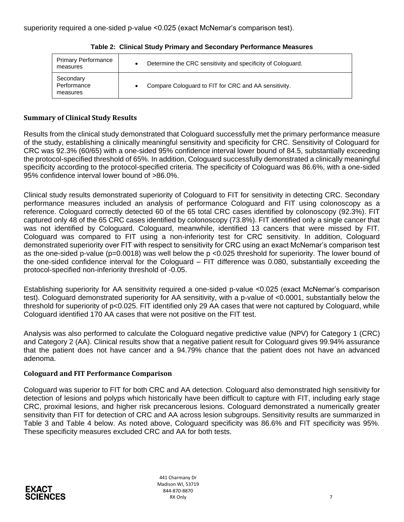| <b>Primary Performance</b><br>measures | Determine the CRC sensitivity and specificity of Cologuard. |
|----------------------------------------|-------------------------------------------------------------|
| Secondary<br>Performance<br>measures   | Compare Cologuard to FIT for CRC and AA sensitivity.        |

**Table 2: Clinical Study Primary and Secondary Performance Measures**

### <span id="page-6-0"></span>**Summary of Clinical Study Results**

Results from the clinical study demonstrated that Cologuard successfully met the primary performance measure of the study, establishing a clinically meaningful sensitivity and specificity for CRC. Sensitivity of Cologuard for CRC was 92.3% (60/65) with a one-sided 95% confidence interval lower bound of 84.5, substantially exceeding the protocol-specified threshold of 65%. In addition, Cologuard successfully demonstrated a clinically meaningful specificity according to the protocol-specified criteria. The specificity of Cologuard was 86.6%, with a one-sided 95% confidence interval lower bound of >86.0%.

Clinical study results demonstrated superiority of Cologuard to FIT for sensitivity in detecting CRC. Secondary performance measures included an analysis of performance Cologuard and FIT using colonoscopy as a reference. Cologuard correctly detected 60 of the 65 total CRC cases identified by colonoscopy (92.3%). FIT captured only 48 of the 65 CRC cases identified by colonoscopy (73.8%). FIT identified only a single cancer that was not identified by Cologuard. Cologuard, meanwhile, identified 13 cancers that were missed by FIT. Cologuard was compared to FIT using a non-inferiority test for CRC sensitivity. In addition, Cologuard demonstrated superiority over FIT with respect to sensitivity for CRC using an exact McNemar's comparison test as the one-sided p-value (p=0.0018) was well below the p <0.025 threshold for superiority. The lower bound of the one-sided confidence interval for the Cologuard – FIT difference was 0.080, substantially exceeding the protocol-specified non-inferiority threshold of -0.05.

Establishing superiority for AA sensitivity required a one-sided p-value <0.025 (exact McNemar's comparison test). Cologuard demonstrated superiority for AA sensitivity, with a p-value of <0.0001, substantially below the threshold for superiority of p<0.025. FIT identified only 29 AA cases that were not captured by Cologuard, while Cologuard identified 170 AA cases that were not positive on the FIT test.

Analysis was also performed to calculate the Cologuard negative predictive value (NPV) for Category 1 (CRC) and Category 2 (AA). Clinical results show that a negative patient result for Cologuard gives 99.94% assurance that the patient does not have cancer and a 94.79% chance that the patient does not have an advanced adenoma.

## <span id="page-6-1"></span>**Cologuard and FIT Performance Comparison**

Cologuard was superior to FIT for both CRC and AA detection. Cologuard also demonstrated high sensitivity for detection of lesions and polyps which historically have been difficult to capture with FIT, including early stage CRC, proximal lesions, and higher risk precancerous lesions. Cologuard demonstrated a numerically greater sensitivity than FIT for detection of CRC and AA across lesion subgroups. Sensitivity results are summarized in Table 3 and Table 4 below. As noted above, Cologuard specificity was 86.6% and FIT specificity was 95%. These specificity measures excluded CRC and AA for both tests.

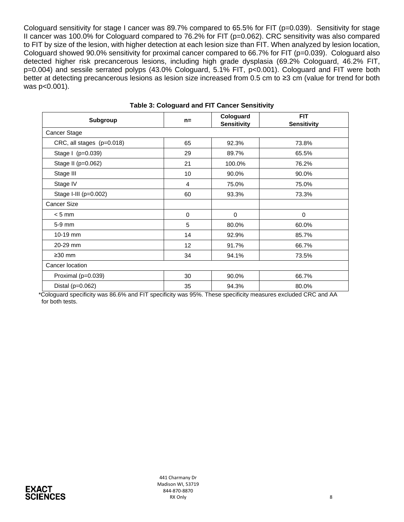Cologuard sensitivity for stage I cancer was 89.7% compared to 65.5% for FIT (p=0.039). Sensitivity for stage II cancer was 100.0% for Cologuard compared to 76.2% for FIT (p=0.062). CRC sensitivity was also compared to FIT by size of the lesion, with higher detection at each lesion size than FIT. When analyzed by lesion location, Cologuard showed 90.0% sensitivity for proximal cancer compared to 66.7% for FIT (p=0.039). Cologuard also detected higher risk precancerous lesions, including high grade dysplasia (69.2% Cologuard, 46.2% FIT, p=0.004) and sessile serrated polyps (43.0% Cologuard, 5.1% FIT, p<0.001). Cologuard and FIT were both better at detecting precancerous lesions as lesion size increased from 0.5 cm to ≥3 cm (value for trend for both was p<0.001).

| Subgroup                  | $n =$          | Cologuard<br><b>Sensitivity</b> | <b>FIT</b><br><b>Sensitivity</b> |  |
|---------------------------|----------------|---------------------------------|----------------------------------|--|
| Cancer Stage              |                |                                 |                                  |  |
| CRC, all stages (p=0.018) | 65             | 92.3%                           | 73.8%                            |  |
| Stage I (p=0.039)         | 29             | 89.7%                           | 65.5%                            |  |
| Stage II (p=0.062)        | 21             | 100.0%                          | 76.2%                            |  |
| Stage III                 | 10             | 90.0%                           | 90.0%                            |  |
| Stage IV                  | $\overline{4}$ | 75.0%                           | 75.0%                            |  |
| Stage I-III (p=0.002)     | 60             | 93.3%                           | 73.3%                            |  |
| <b>Cancer Size</b>        |                |                                 |                                  |  |
| $< 5$ mm                  | 0              | 0                               | 0                                |  |
| 5-9 mm                    | 5              | 80.0%                           | 60.0%                            |  |
| 10-19 mm                  | 14             | 92.9%                           | 85.7%                            |  |
| 20-29 mm                  | 12             | 91.7%                           | 66.7%                            |  |
| $\geq$ 30 mm              | 34             | 94.1%                           | 73.5%                            |  |
| Cancer location           |                |                                 |                                  |  |
| Proximal (p=0.039)        | 30             | 90.0%                           | 66.7%                            |  |
| Distal ( $p=0.062$ )      | 35             | 94.3%                           | 80.0%                            |  |

#### **Table 3: Cologuard and FIT Cancer Sensitivity**

\*Cologuard specificity was 86.6% and FIT specificity was 95%. These specificity measures excluded CRC and AA for both tests.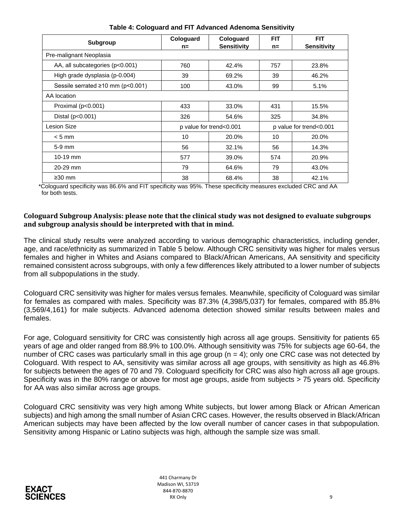| Subgroup                                      | Cologuard<br>$n =$      | Cologuard<br><b>Sensitivity</b> | <b>FIT</b><br>$n =$     | <b>FIT</b><br><b>Sensitivity</b> |
|-----------------------------------------------|-------------------------|---------------------------------|-------------------------|----------------------------------|
| Pre-malignant Neoplasia                       |                         |                                 |                         |                                  |
| AA, all subcategories (p<0.001)               | 760                     | 42.4%                           | 757                     | 23.8%                            |
| High grade dysplasia (p-0.004)                | 39                      | 69.2%                           | 39                      | 46.2%                            |
| Sessile serrated $\geq 10$ mm ( $p < 0.001$ ) | 100                     | 43.0%                           | 99                      | 5.1%                             |
| AA location                                   |                         |                                 |                         |                                  |
| Proximal (p<0.001)                            | 433                     | 33.0%                           | 431                     | 15.5%                            |
| Distal (p<0.001)                              | 326                     | 54.6%                           | 325                     | 34.8%                            |
| Lesion Size                                   | p value for trend<0.001 |                                 | p value for trend<0.001 |                                  |
| $< 5$ mm                                      | 10                      | 20.0%                           | 10                      | 20.0%                            |
| $5-9$ mm                                      | 56                      | 32.1%                           | 56                      | 14.3%                            |
| $10-19$ mm                                    | 577                     | 39.0%                           | 574                     | 20.9%                            |
| 20-29 mm                                      | 79                      | 64.6%                           | 79                      | 43.0%                            |
| $\geq$ 30 mm                                  | 38                      | 68.4%                           | 38                      | 42.1%                            |

**Table 4: Cologuard and FIT Advanced Adenoma Sensitivity**

\*Cologuard specificity was 86.6% and FIT specificity was 95%. These specificity measures excluded CRC and AA for both tests.

### <span id="page-8-0"></span>**Cologuard Subgroup Analysis: please note that the clinical study was not designed to evaluate subgroups and subgroup analysis should be interpreted with that in mind.**

The clinical study results were analyzed according to various demographic characteristics, including gender, age, and race/ethnicity as summarized in Table 5 below. Although CRC sensitivity was higher for males versus females and higher in Whites and Asians compared to Black/African Americans, AA sensitivity and specificity remained consistent across subgroups, with only a few differences likely attributed to a lower number of subjects from all subpopulations in the study.

Cologuard CRC sensitivity was higher for males versus females. Meanwhile, specificity of Cologuard was similar for females as compared with males. Specificity was 87.3% (4,398/5,037) for females, compared with 85.8% (3,569/4,161) for male subjects. Advanced adenoma detection showed similar results between males and females.

For age, Cologuard sensitivity for CRC was consistently high across all age groups. Sensitivity for patients 65 years of age and older ranged from 88.9% to 100.0%. Although sensitivity was 75% for subjects age 60-64, the number of CRC cases was particularly small in this age group  $(n = 4)$ ; only one CRC case was not detected by Cologuard. With respect to AA, sensitivity was similar across all age groups, with sensitivity as high as 46.8% for subjects between the ages of 70 and 79. Cologuard specificity for CRC was also high across all age groups. Specificity was in the 80% range or above for most age groups, aside from subjects > 75 years old. Specificity for AA was also similar across age groups.

Cologuard CRC sensitivity was very high among White subjects, but lower among Black or African American subjects) and high among the small number of Asian CRC cases. However, the results observed in Black/African American subjects may have been affected by the low overall number of cancer cases in that subpopulation. Sensitivity among Hispanic or Latino subjects was high, although the sample size was small.

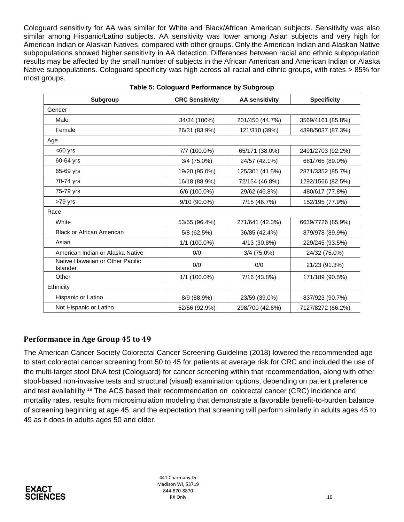Cologuard sensitivity for AA was similar for White and Black/African American subjects. Sensitivity was also similar among Hispanic/Latino subjects. AA sensitivity was lower among Asian subjects and very high for American Indian or Alaskan Natives, compared with other groups. Only the American Indian and Alaskan Native subpopulations showed higher sensitivity in AA detection. Differences between racial and ethnic subpopulation results may be affected by the small number of subjects in the African American and American Indian or Alaska Native subpopulations. Cologuard specificity was high across all racial and ethnic groups, with rates > 85% for most groups.

| <b>Subgroup</b>                              | <b>CRC Sensitivity</b> | <b>AA sensitivity</b> | <b>Specificity</b> |
|----------------------------------------------|------------------------|-----------------------|--------------------|
| Gender                                       |                        |                       |                    |
| Male                                         | 34/34 (100%)           | 201/450 (44.7%)       | 3569/4161 (85.8%)  |
| Female                                       | 26/31 (83.9%)          | 121/310 (39%)         | 4398/5037 (87.3%)  |
| Age                                          |                        |                       |                    |
| $<$ 60 $\vee$ rs                             | 7/7 (100.0%)           | 65/171 (38.0%)        | 2491/2703 (92.2%)  |
| 60-64 yrs                                    | $3/4$ (75.0%)          | 24/57 (42.1%)         | 681/765 (89.0%)    |
| 65-69 yrs                                    | 19/20 (95.0%)          | 125/301 (41.5%)       | 2871/3352 (85.7%)  |
| 70-74 yrs                                    | 16/18 (88.9%)          | 72/154 (46.8%)        | 1292/1566 (82.5%)  |
| 75-79 yrs                                    | 6/6 (100.0%)           | 29/62 (46.8%)         | 480/617 (77.8%)    |
| $>79$ yrs                                    | 9/10 (90.0%)           | 7/15 (46.7%)          | 152/195 (77.9%)    |
| Race                                         |                        |                       |                    |
| White                                        | 53/55 (96.4%)          | 271/641 (42.3%)       | 6639/7726 (85.9%)  |
| <b>Black or African American</b>             | 5/8 (62.5%)            | 36/85 (42.4%)         | 879/978 (89.9%)    |
| Asian                                        | 1/1 (100.0%)           | 4/13 (30.8%)          | 229/245 (93.5%)    |
| American Indian or Alaska Native             | 0/0                    | 3/4 (75.0%)           | 24/32 (75.0%)      |
| Native Hawaiian or Other Pacific<br>Islander | 0/0                    | 0/0                   | 21/23 (91.3%)      |
| Other                                        | 1/1 (100.0%)           | 7/16 (43.8%)          | 171/189 (90.5%)    |
| Ethnicity                                    |                        |                       |                    |
| Hispanic or Latino                           | 8/9 (88.9%)            | 23/59 (39.0%)         | 837/923 (90.7%)    |
| Not Hispanic or Latino                       | 52/56 (92.9%)          | 298/700 (42.6%)       | 7127/8272 (86.2%)  |

#### **Table 5: Cologuard Performance by Subgroup**

### <span id="page-9-0"></span>**Performance in Age Group 45 to 49**

The American Cancer Society Colorectal Cancer Screening Guideline (2018) lowered the recommended age to start colorectal cancer screening from 50 to 45 for patients at average risk for CRC and included the use of the multi-target stool DNA test (Cologuard) for cancer screening within that recommendation, along with other stool-based non-invasive tests and structural (visual) examination options, depending on patient preference and test availability.<sup>19</sup> The ACS based their recommendation on colorectal cancer (CRC) incidence and mortality rates, results from microsimulation modeling that demonstrate a favorable benefit-to-burden balance of screening beginning at age 45, and the expectation that screening will perform similarly in adults ages 45 to 49 as it does in adults ages 50 and older.

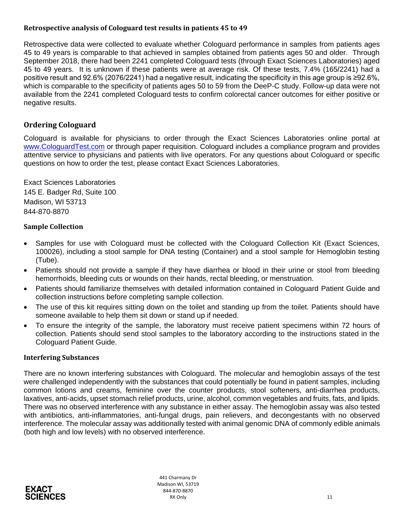### <span id="page-10-0"></span>**Retrospective analysis of Cologuard test results in patients 45 to 49**

Retrospective data were collected to evaluate whether Cologuard performance in samples from patients ages 45 to 49 years is comparable to that achieved in samples obtained from patients ages 50 and older. Through September 2018, there had been 2241 completed Cologuard tests (through Exact Sciences Laboratories) aged 45 to 49 years. It is unknown if these patients were at average risk. Of these tests, 7.4% (165/2241) had a positive result and 92.6% (2076/2241) had a negative result, indicating the specificity in this age group is ≥92.6%, which is comparable to the specificity of patients ages 50 to 59 from the DeeP-C study. Follow-up data were not available from the 2241 completed Cologuard tests to confirm colorectal cancer outcomes for either positive or negative results.

## <span id="page-10-1"></span>**Ordering Cologuard**

Cologuard is available for physicians to order through the Exact Sciences Laboratories online portal at www.CologuardTest.com or through paper requisition. Cologuard includes a compliance program and provides attentive service to physicians and patients with live operators. For any questions about Cologuard or specific questions on how to order the test, please contact Exact Sciences Laboratories.

Exact Sciences Laboratories 145 E. Badger Rd, Suite 100 Madison, WI 53713 844-870-8870

### <span id="page-10-2"></span>**Sample Collection**

- Samples for use with Cologuard must be collected with the Cologuard Collection Kit (Exact Sciences, 100026), including a stool sample for DNA testing (Container) and a stool sample for Hemoglobin testing (Tube).
- Patients should not provide a sample if they have diarrhea or blood in their urine or stool from bleeding hemorrhoids, bleeding cuts or wounds on their hands, rectal bleeding, or menstruation.
- Patients should familiarize themselves with detailed information contained in Cologuard Patient Guide and collection instructions before completing sample collection.
- The use of this kit requires sitting down on the toilet and standing up from the toilet. Patients should have someone available to help them sit down or stand up if needed.
- To ensure the integrity of the sample, the laboratory must receive patient specimens within 72 hours of collection. Patients should send stool samples to the laboratory according to the instructions stated in the Cologuard Patient Guide.

### <span id="page-10-3"></span>**Interfering Substances**

There are no known interfering substances with Cologuard. The molecular and hemoglobin assays of the test were challenged independently with the substances that could potentially be found in patient samples, including common lotions and creams, feminine over the counter products, stool softeners, anti-diarrhea products, laxatives, anti-acids, upset stomach relief products, urine, alcohol, common vegetables and fruits, fats, and lipids. There was no observed interference with any substance in either assay. The hemoglobin assay was also tested with antibiotics, anti-inflammatories, anti-fungal drugs, pain relievers, and decongestants with no observed interference. The molecular assay was additionally tested with animal genomic DNA of commonly edible animals (both high and low levels) with no observed interference.

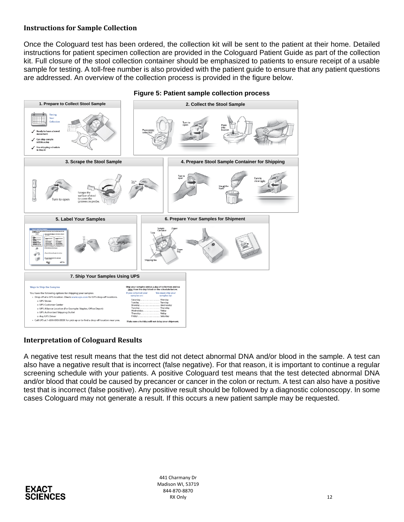### <span id="page-11-0"></span>**Instructions for Sample Collection**

Once the Cologuard test has been ordered, the collection kit will be sent to the patient at their home. Detailed instructions for patient specimen collection are provided in the Cologuard Patient Guide as part of the collection kit. Full closure of the stool collection container should be emphasized to patients to ensure receipt of a usable sample for testing. A toll-free number is also provided with the patient guide to ensure that any patient questions are addressed. An overview of the collection process is provided in the figure below.



**Figure 5: Patient sample collection process** 

#### <span id="page-11-1"></span>**Interpretation of Cologuard Results**

A negative test result means that the test did not detect abnormal DNA and/or blood in the sample. A test can also have a negative result that is incorrect (false negative). For that reason, it is important to continue a regular screening schedule with your patients. A positive Cologuard test means that the test detected abnormal DNA and/or blood that could be caused by precancer or cancer in the colon or rectum. A test can also have a positive test that is incorrect (false positive). Any positive result should be followed by a diagnostic colonoscopy. In some cases Cologuard may not generate a result. If this occurs a new patient sample may be requested.